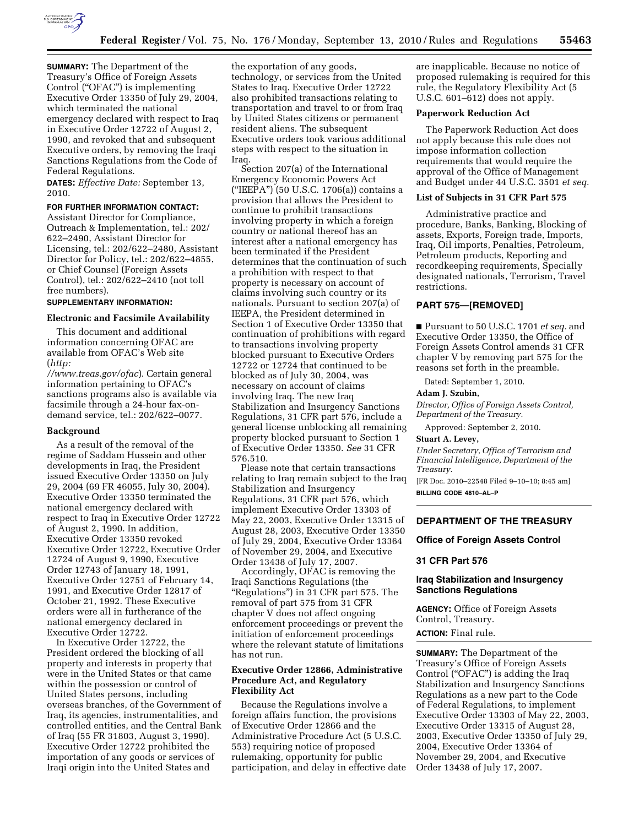

**SUMMARY:** The Department of the Treasury's Office of Foreign Assets Control (''OFAC'') is implementing Executive Order 13350 of July 29, 2004, which terminated the national emergency declared with respect to Iraq in Executive Order 12722 of August 2, 1990, and revoked that and subsequent Executive orders, by removing the Iraqi Sanctions Regulations from the Code of Federal Regulations.

**DATES:** *Effective Date:* September 13, 2010.

# **FOR FURTHER INFORMATION CONTACT:**

Assistant Director for Compliance, Outreach & Implementation, tel.: 202/ 622–2490, Assistant Director for Licensing, tel.: 202/622–2480, Assistant Director for Policy, tel.: 202/622–4855, or Chief Counsel (Foreign Assets Control), tel.: 202/622–2410 (not toll free numbers).

### **SUPPLEMENTARY INFORMATION:**

### **Electronic and Facsimile Availability**

This document and additional information concerning OFAC are available from OFAC's Web site (*http:* 

*[//www.treas.gov/ofac](http://www.treas.gov/ofac)*). Certain general information pertaining to OFAC's sanctions programs also is available via facsimile through a 24-hour fax-ondemand service, tel.: 202/622–0077.

# **Background**

As a result of the removal of the regime of Saddam Hussein and other developments in Iraq, the President issued Executive Order 13350 on July 29, 2004 (69 FR 46055, July 30, 2004). Executive Order 13350 terminated the national emergency declared with respect to Iraq in Executive Order 12722 of August 2, 1990. In addition, Executive Order 13350 revoked Executive Order 12722, Executive Order 12724 of August 9, 1990, Executive Order 12743 of January 18, 1991, Executive Order 12751 of February 14, 1991, and Executive Order 12817 of October 21, 1992. These Executive orders were all in furtherance of the national emergency declared in Executive Order 12722.

In Executive Order 12722, the President ordered the blocking of all property and interests in property that were in the United States or that came within the possession or control of United States persons, including overseas branches, of the Government of Iraq, its agencies, instrumentalities, and controlled entities, and the Central Bank of Iraq (55 FR 31803, August 3, 1990). Executive Order 12722 prohibited the importation of any goods or services of Iraqi origin into the United States and

the exportation of any goods, technology, or services from the United States to Iraq. Executive Order 12722 also prohibited transactions relating to transportation and travel to or from Iraq by United States citizens or permanent resident aliens. The subsequent Executive orders took various additional steps with respect to the situation in Iraq.

Section 207(a) of the International Emergency Economic Powers Act (''IEEPA'') (50 U.S.C. 1706(a)) contains a provision that allows the President to continue to prohibit transactions involving property in which a foreign country or national thereof has an interest after a national emergency has been terminated if the President determines that the continuation of such a prohibition with respect to that property is necessary on account of claims involving such country or its nationals. Pursuant to section 207(a) of IEEPA, the President determined in Section 1 of Executive Order 13350 that continuation of prohibitions with regard to transactions involving property blocked pursuant to Executive Orders 12722 or 12724 that continued to be blocked as of July 30, 2004, was necessary on account of claims involving Iraq. The new Iraq Stabilization and Insurgency Sanctions Regulations, 31 CFR part 576, include a general license unblocking all remaining property blocked pursuant to Section 1 of Executive Order 13350. *See* 31 CFR 576.510.

Please note that certain transactions relating to Iraq remain subject to the Iraq Stabilization and Insurgency Regulations, 31 CFR part 576, which implement Executive Order 13303 of May 22, 2003, Executive Order 13315 of August 28, 2003, Executive Order 13350 of July 29, 2004, Executive Order 13364 of November 29, 2004, and Executive Order 13438 of July 17, 2007.

Accordingly, OFAC is removing the Iraqi Sanctions Regulations (the "Regulations") in 31 CFR part 575. The removal of part 575 from 31 CFR chapter V does not affect ongoing enforcement proceedings or prevent the initiation of enforcement proceedings where the relevant statute of limitations has not run.

# **Executive Order 12866, Administrative Procedure Act, and Regulatory Flexibility Act**

Because the Regulations involve a foreign affairs function, the provisions of Executive Order 12866 and the Administrative Procedure Act (5 U.S.C. 553) requiring notice of proposed rulemaking, opportunity for public participation, and delay in effective date are inapplicable. Because no notice of proposed rulemaking is required for this rule, the Regulatory Flexibility Act (5 U.S.C. 601–612) does not apply.

# **Paperwork Reduction Act**

The Paperwork Reduction Act does not apply because this rule does not impose information collection requirements that would require the approval of the Office of Management and Budget under 44 U.S.C. 3501 *et seq.* 

# **List of Subjects in 31 CFR Part 575**

Administrative practice and procedure, Banks, Banking, Blocking of assets, Exports, Foreign trade, Imports, Iraq, Oil imports, Penalties, Petroleum, Petroleum products, Reporting and recordkeeping requirements, Specially designated nationals, Terrorism, Travel restrictions.

# **PART 575—[REMOVED]**

■ Pursuant to 50 U.S.C. 1701 *et seq.* and Executive Order 13350, the Office of Foreign Assets Control amends 31 CFR chapter V by removing part 575 for the reasons set forth in the preamble.

Dated: September 1, 2010.

# **Adam J. Szubin,**

*Director, Office of Foreign Assets Control, Department of the Treasury.* 

Approved: September 2, 2010.

### **Stuart A. Levey,**

*Under Secretary, Office of Terrorism and Financial Intelligence, Department of the Treasury.* 

[FR Doc. 2010–22548 Filed 9–10–10; 8:45 am] **BILLING CODE 4810–AL–P** 

# **DEPARTMENT OF THE TREASURY**

# **Office of Foreign Assets Control**

# **31 CFR Part 576**

# **Iraq Stabilization and Insurgency Sanctions Regulations**

**AGENCY:** Office of Foreign Assets Control, Treasury.

**ACTION:** Final rule.

**SUMMARY:** The Department of the Treasury's Office of Foreign Assets Control ("OFAC") is adding the Iraq Stabilization and Insurgency Sanctions Regulations as a new part to the Code of Federal Regulations, to implement Executive Order 13303 of May 22, 2003, Executive Order 13315 of August 28, 2003, Executive Order 13350 of July 29, 2004, Executive Order 13364 of November 29, 2004, and Executive Order 13438 of July 17, 2007.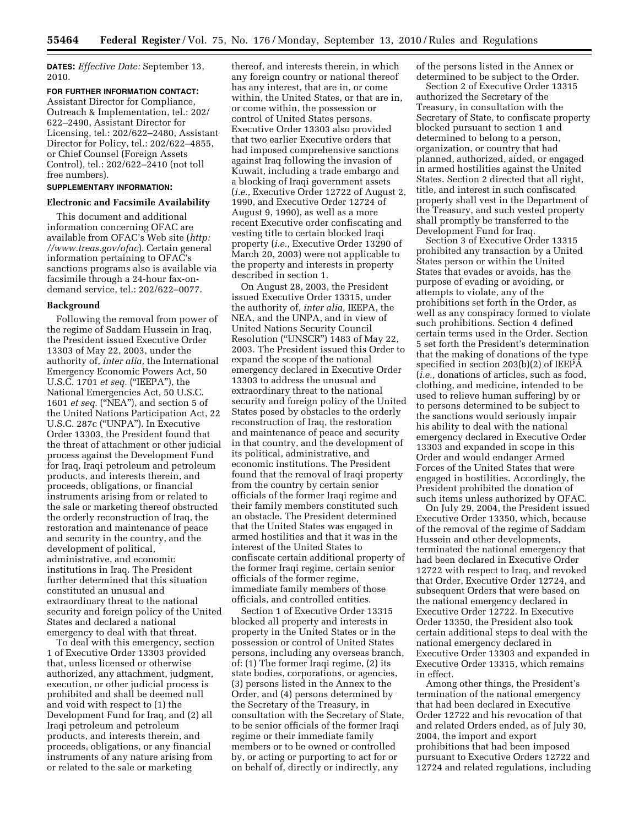**DATES:** *Effective Date:* September 13, 2010.

### **FOR FURTHER INFORMATION CONTACT:**

Assistant Director for Compliance, Outreach & Implementation, tel.: 202/ 622–2490, Assistant Director for Licensing, tel.: 202/622–2480, Assistant Director for Policy, tel.: 202/622–4855, or Chief Counsel (Foreign Assets Control), tel.: 202/622–2410 (not toll free numbers).

### **SUPPLEMENTARY INFORMATION:**

### **Electronic and Facsimile Availability**

This document and additional information concerning OFAC are [available from OFAC's Web site \(](http://www.treas.gov/ofac)*http: //www.treas.gov/ofac*). Certain general information pertaining to OFAC's sanctions programs also is available via facsimile through a 24-hour fax-ondemand service, tel.: 202/622–0077.

### **Background**

Following the removal from power of the regime of Saddam Hussein in Iraq, the President issued Executive Order 13303 of May 22, 2003, under the authority of, *inter alia,* the International Emergency Economic Powers Act, 50 U.S.C. 1701 *et seq.* (''IEEPA''), the National Emergencies Act, 50 U.S.C. 1601 *et seq.* (''NEA''), and section 5 of the United Nations Participation Act, 22 U.S.C. 287c (''UNPA''). In Executive Order 13303, the President found that the threat of attachment or other judicial process against the Development Fund for Iraq, Iraqi petroleum and petroleum products, and interests therein, and proceeds, obligations, or financial instruments arising from or related to the sale or marketing thereof obstructed the orderly reconstruction of Iraq, the restoration and maintenance of peace and security in the country, and the development of political, administrative, and economic institutions in Iraq. The President further determined that this situation constituted an unusual and extraordinary threat to the national security and foreign policy of the United States and declared a national emergency to deal with that threat.

To deal with this emergency, section 1 of Executive Order 13303 provided that, unless licensed or otherwise authorized, any attachment, judgment, execution, or other judicial process is prohibited and shall be deemed null and void with respect to (1) the Development Fund for Iraq, and (2) all Iraqi petroleum and petroleum products, and interests therein, and proceeds, obligations, or any financial instruments of any nature arising from or related to the sale or marketing

thereof, and interests therein, in which any foreign country or national thereof has any interest, that are in, or come within, the United States, or that are in, or come within, the possession or control of United States persons. Executive Order 13303 also provided that two earlier Executive orders that had imposed comprehensive sanctions against Iraq following the invasion of Kuwait, including a trade embargo and a blocking of Iraqi government assets (*i.e.,* Executive Order 12722 of August 2, 1990, and Executive Order 12724 of August 9, 1990), as well as a more recent Executive order confiscating and vesting title to certain blocked Iraqi property (*i.e.,* Executive Order 13290 of March 20, 2003) were not applicable to the property and interests in property described in section 1.

On August 28, 2003, the President issued Executive Order 13315, under the authority of, *inter alia,* IEEPA, the NEA, and the UNPA, and in view of United Nations Security Council Resolution (''UNSCR'') 1483 of May 22, 2003. The President issued this Order to expand the scope of the national emergency declared in Executive Order 13303 to address the unusual and extraordinary threat to the national security and foreign policy of the United States posed by obstacles to the orderly reconstruction of Iraq, the restoration and maintenance of peace and security in that country, and the development of its political, administrative, and economic institutions. The President found that the removal of Iraqi property from the country by certain senior officials of the former Iraqi regime and their family members constituted such an obstacle. The President determined that the United States was engaged in armed hostilities and that it was in the interest of the United States to confiscate certain additional property of the former Iraqi regime, certain senior officials of the former regime, immediate family members of those officials, and controlled entities.

Section 1 of Executive Order 13315 blocked all property and interests in property in the United States or in the possession or control of United States persons, including any overseas branch, of: (1) The former Iraqi regime, (2) its state bodies, corporations, or agencies, (3) persons listed in the Annex to the Order, and (4) persons determined by the Secretary of the Treasury, in consultation with the Secretary of State, to be senior officials of the former Iraqi regime or their immediate family members or to be owned or controlled by, or acting or purporting to act for or on behalf of, directly or indirectly, any

of the persons listed in the Annex or determined to be subject to the Order.

Section 2 of Executive Order 13315 authorized the Secretary of the Treasury, in consultation with the Secretary of State, to confiscate property blocked pursuant to section 1 and determined to belong to a person, organization, or country that had planned, authorized, aided, or engaged in armed hostilities against the United States. Section 2 directed that all right, title, and interest in such confiscated property shall vest in the Department of the Treasury, and such vested property shall promptly be transferred to the Development Fund for Iraq.

Section 3 of Executive Order 13315 prohibited any transaction by a United States person or within the United States that evades or avoids, has the purpose of evading or avoiding, or attempts to violate, any of the prohibitions set forth in the Order, as well as any conspiracy formed to violate such prohibitions. Section 4 defined certain terms used in the Order. Section 5 set forth the President's determination that the making of donations of the type specified in section 203(b)(2) of IEEPA (*i.e.,* donations of articles, such as food, clothing, and medicine, intended to be used to relieve human suffering) by or to persons determined to be subject to the sanctions would seriously impair his ability to deal with the national emergency declared in Executive Order 13303 and expanded in scope in this Order and would endanger Armed Forces of the United States that were engaged in hostilities. Accordingly, the President prohibited the donation of such items unless authorized by OFAC.

On July 29, 2004, the President issued Executive Order 13350, which, because of the removal of the regime of Saddam Hussein and other developments, terminated the national emergency that had been declared in Executive Order 12722 with respect to Iraq, and revoked that Order, Executive Order 12724, and subsequent Orders that were based on the national emergency declared in Executive Order 12722. In Executive Order 13350, the President also took certain additional steps to deal with the national emergency declared in Executive Order 13303 and expanded in Executive Order 13315, which remains in effect.

Among other things, the President's termination of the national emergency that had been declared in Executive Order 12722 and his revocation of that and related Orders ended, as of July 30, 2004, the import and export prohibitions that had been imposed pursuant to Executive Orders 12722 and 12724 and related regulations, including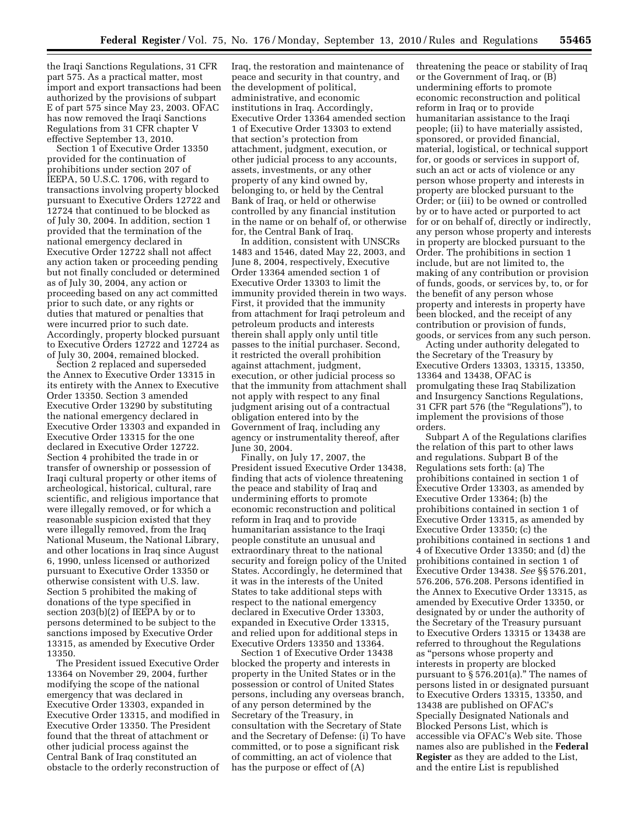the Iraqi Sanctions Regulations, 31 CFR part 575. As a practical matter, most import and export transactions had been authorized by the provisions of subpart E of part 575 since May 23, 2003. OFAC has now removed the Iraqi Sanctions Regulations from 31 CFR chapter V effective September 13, 2010.

Section 1 of Executive Order 13350 provided for the continuation of prohibitions under section 207 of IEEPA, 50 U.S.C. 1706, with regard to transactions involving property blocked pursuant to Executive Orders 12722 and 12724 that continued to be blocked as of July 30, 2004. In addition, section 1 provided that the termination of the national emergency declared in Executive Order 12722 shall not affect any action taken or proceeding pending but not finally concluded or determined as of July 30, 2004, any action or proceeding based on any act committed prior to such date, or any rights or duties that matured or penalties that were incurred prior to such date. Accordingly, property blocked pursuant to Executive Orders 12722 and 12724 as of July 30, 2004, remained blocked.

Section 2 replaced and superseded the Annex to Executive Order 13315 in its entirety with the Annex to Executive Order 13350. Section 3 amended Executive Order 13290 by substituting the national emergency declared in Executive Order 13303 and expanded in Executive Order 13315 for the one declared in Executive Order 12722. Section 4 prohibited the trade in or transfer of ownership or possession of Iraqi cultural property or other items of archeological, historical, cultural, rare scientific, and religious importance that were illegally removed, or for which a reasonable suspicion existed that they were illegally removed, from the Iraq National Museum, the National Library, and other locations in Iraq since August 6, 1990, unless licensed or authorized pursuant to Executive Order 13350 or otherwise consistent with U.S. law. Section 5 prohibited the making of donations of the type specified in section 203(b)(2) of IEEPA by or to persons determined to be subject to the sanctions imposed by Executive Order 13315, as amended by Executive Order 13350.

The President issued Executive Order 13364 on November 29, 2004, further modifying the scope of the national emergency that was declared in Executive Order 13303, expanded in Executive Order 13315, and modified in Executive Order 13350. The President found that the threat of attachment or other judicial process against the Central Bank of Iraq constituted an obstacle to the orderly reconstruction of

Iraq, the restoration and maintenance of peace and security in that country, and the development of political, administrative, and economic institutions in Iraq. Accordingly, Executive Order 13364 amended section 1 of Executive Order 13303 to extend that section's protection from attachment, judgment, execution, or other judicial process to any accounts, assets, investments, or any other property of any kind owned by, belonging to, or held by the Central Bank of Iraq, or held or otherwise controlled by any financial institution in the name or on behalf of, or otherwise for, the Central Bank of Iraq.

In addition, consistent with UNSCRs 1483 and 1546, dated May 22, 2003, and June 8, 2004, respectively, Executive Order 13364 amended section 1 of Executive Order 13303 to limit the immunity provided therein in two ways. First, it provided that the immunity from attachment for Iraqi petroleum and petroleum products and interests therein shall apply only until title passes to the initial purchaser. Second, it restricted the overall prohibition against attachment, judgment, execution, or other judicial process so that the immunity from attachment shall not apply with respect to any final judgment arising out of a contractual obligation entered into by the Government of Iraq, including any agency or instrumentality thereof, after June 30, 2004.

Finally, on July 17, 2007, the President issued Executive Order 13438, finding that acts of violence threatening the peace and stability of Iraq and undermining efforts to promote economic reconstruction and political reform in Iraq and to provide humanitarian assistance to the Iraqi people constitute an unusual and extraordinary threat to the national security and foreign policy of the United States. Accordingly, he determined that it was in the interests of the United States to take additional steps with respect to the national emergency declared in Executive Order 13303, expanded in Executive Order 13315, and relied upon for additional steps in Executive Orders 13350 and 13364.

Section 1 of Executive Order 13438 blocked the property and interests in property in the United States or in the possession or control of United States persons, including any overseas branch, of any person determined by the Secretary of the Treasury, in consultation with the Secretary of State and the Secretary of Defense: (i) To have committed, or to pose a significant risk of committing, an act of violence that has the purpose or effect of (A)

threatening the peace or stability of Iraq or the Government of Iraq, or (B) undermining efforts to promote economic reconstruction and political reform in Iraq or to provide humanitarian assistance to the Iraqi people; (ii) to have materially assisted, sponsored, or provided financial, material, logistical, or technical support for, or goods or services in support of, such an act or acts of violence or any person whose property and interests in property are blocked pursuant to the Order; or (iii) to be owned or controlled by or to have acted or purported to act for or on behalf of, directly or indirectly, any person whose property and interests in property are blocked pursuant to the Order. The prohibitions in section 1 include, but are not limited to, the making of any contribution or provision of funds, goods, or services by, to, or for the benefit of any person whose property and interests in property have been blocked, and the receipt of any contribution or provision of funds, goods, or services from any such person.

Acting under authority delegated to the Secretary of the Treasury by Executive Orders 13303, 13315, 13350, 13364 and 13438, OFAC is promulgating these Iraq Stabilization and Insurgency Sanctions Regulations, 31 CFR part 576 (the ''Regulations''), to implement the provisions of those orders.

Subpart A of the Regulations clarifies the relation of this part to other laws and regulations. Subpart B of the Regulations sets forth: (a) The prohibitions contained in section 1 of Executive Order 13303, as amended by Executive Order 13364; (b) the prohibitions contained in section 1 of Executive Order 13315, as amended by Executive Order 13350; (c) the prohibitions contained in sections 1 and 4 of Executive Order 13350; and (d) the prohibitions contained in section 1 of Executive Order 13438. *See* §§ 576.201, 576.206, 576.208. Persons identified in the Annex to Executive Order 13315, as amended by Executive Order 13350, or designated by or under the authority of the Secretary of the Treasury pursuant to Executive Orders 13315 or 13438 are referred to throughout the Regulations as ''persons whose property and interests in property are blocked pursuant to § 576.201(a).'' The names of persons listed in or designated pursuant to Executive Orders 13315, 13350, and 13438 are published on OFAC's Specially Designated Nationals and Blocked Persons List, which is accessible via OFAC's Web site. Those names also are published in the **Federal Register** as they are added to the List, and the entire List is republished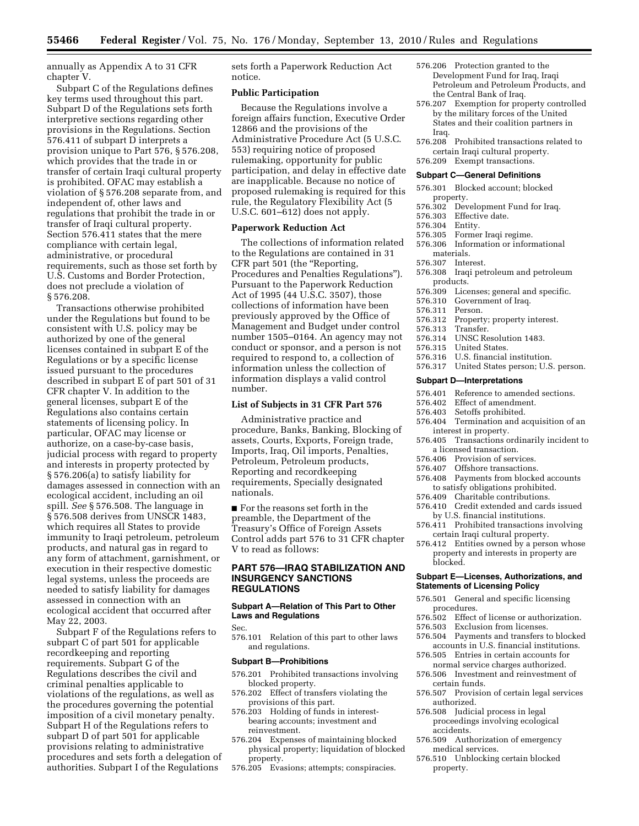annually as Appendix A to 31 CFR chapter V.

Subpart C of the Regulations defines key terms used throughout this part. Subpart D of the Regulations sets forth interpretive sections regarding other provisions in the Regulations. Section 576.411 of subpart D interprets a provision unique to Part 576, § 576.208, which provides that the trade in or transfer of certain Iraqi cultural property is prohibited. OFAC may establish a violation of § 576.208 separate from, and independent of, other laws and regulations that prohibit the trade in or transfer of Iraqi cultural property. Section 576.411 states that the mere compliance with certain legal, administrative, or procedural requirements, such as those set forth by U.S. Customs and Border Protection, does not preclude a violation of § 576.208.

Transactions otherwise prohibited under the Regulations but found to be consistent with U.S. policy may be authorized by one of the general licenses contained in subpart E of the Regulations or by a specific license issued pursuant to the procedures described in subpart E of part 501 of 31 CFR chapter V. In addition to the general licenses, subpart E of the Regulations also contains certain statements of licensing policy. In particular, OFAC may license or authorize, on a case-by-case basis, judicial process with regard to property and interests in property protected by § 576.206(a) to satisfy liability for damages assessed in connection with an ecological accident, including an oil spill. *See* § 576.508. The language in § 576.508 derives from UNSCR 1483, which requires all States to provide immunity to Iraqi petroleum, petroleum products, and natural gas in regard to any form of attachment, garnishment, or execution in their respective domestic legal systems, unless the proceeds are needed to satisfy liability for damages assessed in connection with an ecological accident that occurred after May 22, 2003.

Subpart F of the Regulations refers to subpart C of part 501 for applicable recordkeeping and reporting requirements. Subpart G of the Regulations describes the civil and criminal penalties applicable to violations of the regulations, as well as the procedures governing the potential imposition of a civil monetary penalty. Subpart H of the Regulations refers to subpart D of part 501 for applicable provisions relating to administrative procedures and sets forth a delegation of authorities. Subpart I of the Regulations

sets forth a Paperwork Reduction Act notice.

# **Public Participation**

Because the Regulations involve a foreign affairs function, Executive Order 12866 and the provisions of the Administrative Procedure Act (5 U.S.C. 553) requiring notice of proposed rulemaking, opportunity for public participation, and delay in effective date are inapplicable. Because no notice of proposed rulemaking is required for this rule, the Regulatory Flexibility Act (5 U.S.C. 601–612) does not apply.

# **Paperwork Reduction Act**

The collections of information related to the Regulations are contained in 31 CFR part 501 (the "Reporting, Procedures and Penalties Regulations''). Pursuant to the Paperwork Reduction Act of 1995 (44 U.S.C. 3507), those collections of information have been previously approved by the Office of Management and Budget under control number 1505–0164. An agency may not conduct or sponsor, and a person is not required to respond to, a collection of information unless the collection of information displays a valid control number.

# **List of Subjects in 31 CFR Part 576**

Administrative practice and procedure, Banks, Banking, Blocking of assets, Courts, Exports, Foreign trade, Imports, Iraq, Oil imports, Penalties, Petroleum, Petroleum products, Reporting and recordkeeping requirements, Specially designated nationals.

■ For the reasons set forth in the preamble, the Department of the Treasury's Office of Foreign Assets Control adds part 576 to 31 CFR chapter V to read as follows:

# **PART 576—IRAQ STABILIZATION AND INSURGENCY SANCTIONS REGULATIONS**

## **Subpart A—Relation of This Part to Other Laws and Regulations**

Sec.

576.101 Relation of this part to other laws and regulations.

#### **Subpart B—Prohibitions**

- 576.201 Prohibited transactions involving blocked property.
- 576.202 Effect of transfers violating the provisions of this part.
- 576.203 Holding of funds in interestbearing accounts; investment and reinvestment.
- 576.204 Expenses of maintaining blocked physical property; liquidation of blocked property.
- 576.205 Evasions; attempts; conspiracies.
- 576.206 Protection granted to the Development Fund for Iraq, Iraqi Petroleum and Petroleum Products, and the Central Bank of Iraq.
- 576.207 Exemption for property controlled by the military forces of the United States and their coalition partners in Iraq.
- 576.208 Prohibited transactions related to certain Iraqi cultural property.
- 576.209 Exempt transactions.

#### **Subpart C—General Definitions**

- 576.301 Blocked account; blocked property.
- 576.302 Development Fund for Iraq.
- 576.303 Effective date.
- 576.304 Entity.
- 
- 576.305 Former Iraqi regime. 576.306 Information or informational materials.
- 576.307 Interest.
- 576.308 Iraqi petroleum and petroleum
- products.<br>576.309 Lice Licenses; general and specific.
- 576.310 Government of Iraq.
	-
- 576.311 Person. Property; property interest.
- 576.313 Transfer.
- 576.314 UNSC Resolution 1483.
- 576.315 United States.
- 576.316 U.S. financial institution.<br>576.317 United States person; U.S.
- United States person; U.S. person.

#### **Subpart D—Interpretations**

- 576.401 Reference to amended sections.
- 576.402 Effect of amendment.
- 576.403 Setoffs prohibited.
- 576.404 Termination and acquisition of an interest in property.
- 576.405 Transactions ordinarily incident to a licensed transaction.
- 576.406 Provision of services.
- 576.407 Offshore transactions.
- 576.408 Payments from blocked accounts
- to satisfy obligations prohibited.
- 576.409 Charitable contributions.
- 576.410 Credit extended and cards issued by U.S. financial institutions.
- 576.411 Prohibited transactions involving certain Iraqi cultural property.
- 576.412 Entities owned by a person whose property and interests in property are blocked.

### **Subpart E—Licenses, Authorizations, and Statements of Licensing Policy**

- 576.501 General and specific licensing procedures.<br>576 502 Effect
- Effect of license or authorization.
- 576.503 Exclusion from licenses.
- 576.504 Payments and transfers to blocked accounts in U.S. financial institutions.
- 576.505 Entries in certain accounts for normal service charges authorized.
- 576.506 Investment and reinvestment of certain funds.
- 576.507 Provision of certain legal services authorized.
- 576.508 Judicial process in legal proceedings involving ecological accidents.
- 576.509 Authorization of emergency medical services.
- 576.510 Unblocking certain blocked property.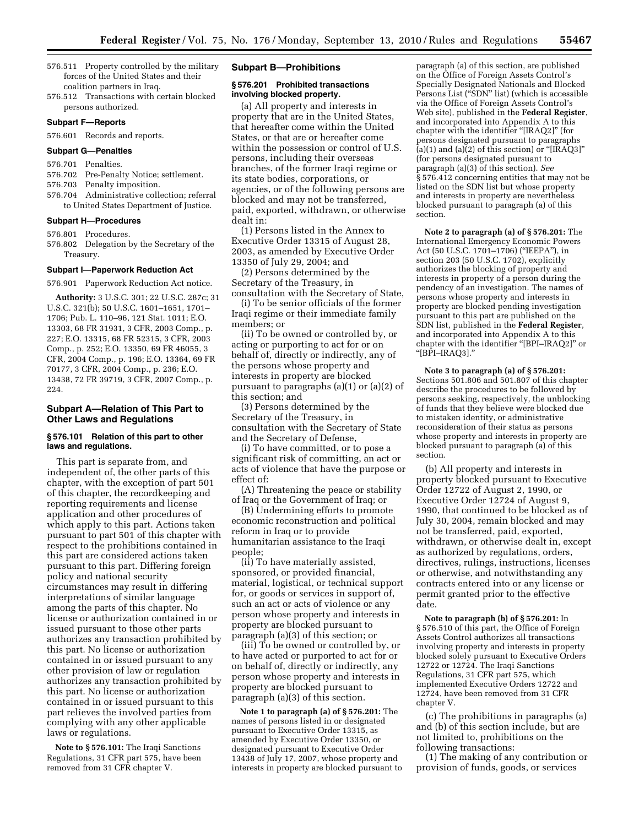- 576.511 Property controlled by the military forces of the United States and their coalition partners in Iraq.
- 576.512 Transactions with certain blocked persons authorized.

### **Subpart F—Reports**

576.601 Records and reports.

# **Subpart G—Penalties**

#### 576.701 Penalties.

- 576.702 Pre-Penalty Notice; settlement.
- 576.703 Penalty imposition.
- 576.704 Administrative collection; referral to United States Department of Justice.

### **Subpart H—Procedures**

- 576.801 Procedures.
- 576.802 Delegation by the Secretary of the Treasury.

# **Subpart I—Paperwork Reduction Act**

576.901 Paperwork Reduction Act notice.

**Authority:** 3 U.S.C. 301; 22 U.S.C. 287c; 31 U.S.C. 321(b); 50 U.S.C. 1601–1651, 1701– 1706; Pub. L. 110–96, 121 Stat. 1011; E.O. 13303, 68 FR 31931, 3 CFR, 2003 Comp., p. 227; E.O. 13315, 68 FR 52315, 3 CFR, 2003 Comp., p. 252; E.O. 13350, 69 FR 46055, 3 CFR, 2004 Comp., p. 196; E.O. 13364, 69 FR 70177, 3 CFR, 2004 Comp., p. 236; E.O. 13438, 72 FR 39719, 3 CFR, 2007 Comp., p. 224.

# **Subpart A—Relation of This Part to Other Laws and Regulations**

### **§ 576.101 Relation of this part to other laws and regulations.**

This part is separate from, and independent of, the other parts of this chapter, with the exception of part 501 of this chapter, the recordkeeping and reporting requirements and license application and other procedures of which apply to this part. Actions taken pursuant to part 501 of this chapter with respect to the prohibitions contained in this part are considered actions taken pursuant to this part. Differing foreign policy and national security circumstances may result in differing interpretations of similar language among the parts of this chapter. No license or authorization contained in or issued pursuant to those other parts authorizes any transaction prohibited by this part. No license or authorization contained in or issued pursuant to any other provision of law or regulation authorizes any transaction prohibited by this part. No license or authorization contained in or issued pursuant to this part relieves the involved parties from complying with any other applicable laws or regulations.

**Note to § 576.101:** The Iraqi Sanctions Regulations, 31 CFR part 575, have been removed from 31 CFR chapter V.

### **Subpart B—Prohibitions**

# **§ 576.201 Prohibited transactions involving blocked property.**

(a) All property and interests in property that are in the United States, that hereafter come within the United States, or that are or hereafter come within the possession or control of U.S. persons, including their overseas branches, of the former Iraqi regime or its state bodies, corporations, or agencies, or of the following persons are blocked and may not be transferred, paid, exported, withdrawn, or otherwise dealt in:

(1) Persons listed in the Annex to Executive Order 13315 of August 28, 2003, as amended by Executive Order 13350 of July 29, 2004; and

(2) Persons determined by the Secretary of the Treasury, in consultation with the Secretary of State,

(i) To be senior officials of the former Iraqi regime or their immediate family members; or

(ii) To be owned or controlled by, or acting or purporting to act for or on behalf of, directly or indirectly, any of the persons whose property and interests in property are blocked pursuant to paragraphs (a)(1) or (a)(2) of this section; and

(3) Persons determined by the Secretary of the Treasury, in consultation with the Secretary of State and the Secretary of Defense,

(i) To have committed, or to pose a significant risk of committing, an act or acts of violence that have the purpose or effect of:

(A) Threatening the peace or stability of Iraq or the Government of Iraq; or

(B) Undermining efforts to promote economic reconstruction and political reform in Iraq or to provide humanitarian assistance to the Iraqi people;

(ii) To have materially assisted, sponsored, or provided financial, material, logistical, or technical support for, or goods or services in support of, such an act or acts of violence or any person whose property and interests in property are blocked pursuant to paragraph (a)(3) of this section; or

(iii) To be owned or controlled by, or to have acted or purported to act for or on behalf of, directly or indirectly, any person whose property and interests in property are blocked pursuant to paragraph (a)(3) of this section.

**Note 1 to paragraph (a) of § 576.201:** The names of persons listed in or designated pursuant to Executive Order 13315, as amended by Executive Order 13350, or designated pursuant to Executive Order 13438 of July 17, 2007, whose property and interests in property are blocked pursuant to

paragraph (a) of this section, are published on the Office of Foreign Assets Control's Specially Designated Nationals and Blocked Persons List (''SDN'' list) (which is accessible via the Office of Foreign Assets Control's Web site), published in the **Federal Register**, and incorporated into Appendix A to this chapter with the identifier ''[IRAQ2]'' (for persons designated pursuant to paragraphs (a)(1) and (a)(2) of this section) or "[IRAQ3]" (for persons designated pursuant to paragraph (a)(3) of this section). *See*  § 576.412 concerning entities that may not be listed on the SDN list but whose property and interests in property are nevertheless blocked pursuant to paragraph (a) of this section.

**Note 2 to paragraph (a) of § 576.201:** The International Emergency Economic Powers Act (50 U.S.C. 1701–1706) (''IEEPA''), in section 203 (50 U.S.C. 1702), explicitly authorizes the blocking of property and interests in property of a person during the pendency of an investigation. The names of persons whose property and interests in property are blocked pending investigation pursuant to this part are published on the SDN list, published in the **Federal Register**, and incorporated into Appendix A to this chapter with the identifier ''[BPI–IRAQ2]'' or ''[BPI–IRAQ3].''

### **Note 3 to paragraph (a) of § 576.201:**

Sections 501.806 and 501.807 of this chapter describe the procedures to be followed by persons seeking, respectively, the unblocking of funds that they believe were blocked due to mistaken identity, or administrative reconsideration of their status as persons whose property and interests in property are blocked pursuant to paragraph (a) of this section.

(b) All property and interests in property blocked pursuant to Executive Order 12722 of August 2, 1990, or Executive Order 12724 of August 9, 1990, that continued to be blocked as of July 30, 2004, remain blocked and may not be transferred, paid, exported, withdrawn, or otherwise dealt in, except as authorized by regulations, orders, directives, rulings, instructions, licenses or otherwise, and notwithstanding any contracts entered into or any license or permit granted prior to the effective date.

**Note to paragraph (b) of § 576.201:** In § 576.510 of this part, the Office of Foreign Assets Control authorizes all transactions involving property and interests in property blocked solely pursuant to Executive Orders 12722 or 12724. The Iraqi Sanctions Regulations, 31 CFR part 575, which implemented Executive Orders 12722 and 12724, have been removed from 31 CFR chapter V.

(c) The prohibitions in paragraphs (a) and (b) of this section include, but are not limited to, prohibitions on the following transactions:

(1) The making of any contribution or provision of funds, goods, or services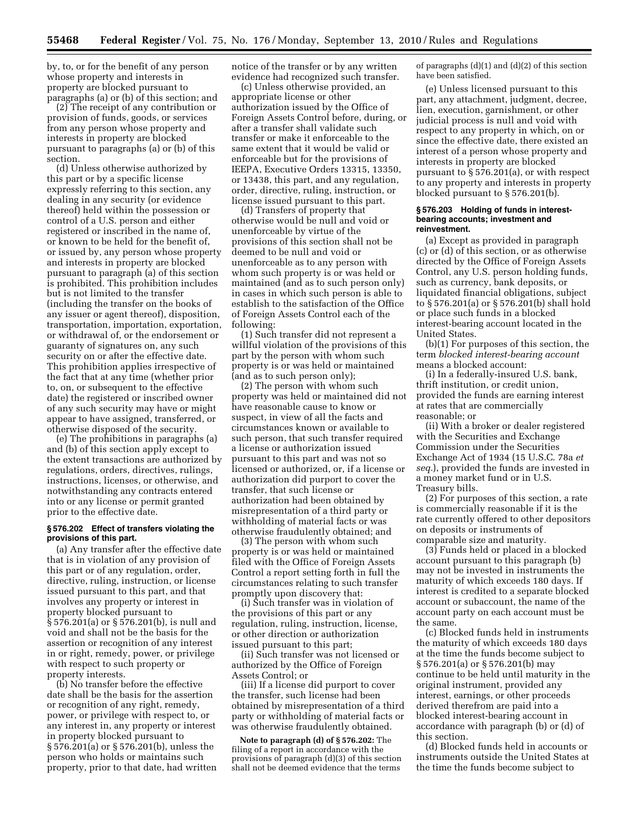by, to, or for the benefit of any person whose property and interests in property are blocked pursuant to paragraphs (a) or (b) of this section; and

(2) The receipt of any contribution or provision of funds, goods, or services from any person whose property and interests in property are blocked pursuant to paragraphs (a) or (b) of this section.

(d) Unless otherwise authorized by this part or by a specific license expressly referring to this section, any dealing in any security (or evidence thereof) held within the possession or control of a U.S. person and either registered or inscribed in the name of, or known to be held for the benefit of, or issued by, any person whose property and interests in property are blocked pursuant to paragraph (a) of this section is prohibited. This prohibition includes but is not limited to the transfer (including the transfer on the books of any issuer or agent thereof), disposition, transportation, importation, exportation, or withdrawal of, or the endorsement or guaranty of signatures on, any such security on or after the effective date. This prohibition applies irrespective of the fact that at any time (whether prior to, on, or subsequent to the effective date) the registered or inscribed owner of any such security may have or might appear to have assigned, transferred, or otherwise disposed of the security.

(e) The prohibitions in paragraphs (a) and (b) of this section apply except to the extent transactions are authorized by regulations, orders, directives, rulings, instructions, licenses, or otherwise, and notwithstanding any contracts entered into or any license or permit granted prior to the effective date.

## **§ 576.202 Effect of transfers violating the provisions of this part.**

(a) Any transfer after the effective date that is in violation of any provision of this part or of any regulation, order, directive, ruling, instruction, or license issued pursuant to this part, and that involves any property or interest in property blocked pursuant to § 576.201(a) or § 576.201(b), is null and void and shall not be the basis for the assertion or recognition of any interest in or right, remedy, power, or privilege with respect to such property or property interests.

(b) No transfer before the effective date shall be the basis for the assertion or recognition of any right, remedy, power, or privilege with respect to, or any interest in, any property or interest in property blocked pursuant to § 576.201(a) or § 576.201(b), unless the person who holds or maintains such property, prior to that date, had written notice of the transfer or by any written evidence had recognized such transfer.

(c) Unless otherwise provided, an appropriate license or other authorization issued by the Office of Foreign Assets Control before, during, or after a transfer shall validate such transfer or make it enforceable to the same extent that it would be valid or enforceable but for the provisions of IEEPA, Executive Orders 13315, 13350, or 13438, this part, and any regulation, order, directive, ruling, instruction, or license issued pursuant to this part.

(d) Transfers of property that otherwise would be null and void or unenforceable by virtue of the provisions of this section shall not be deemed to be null and void or unenforceable as to any person with whom such property is or was held or maintained (and as to such person only) in cases in which such person is able to establish to the satisfaction of the Office of Foreign Assets Control each of the following:

(1) Such transfer did not represent a willful violation of the provisions of this part by the person with whom such property is or was held or maintained (and as to such person only);

(2) The person with whom such property was held or maintained did not have reasonable cause to know or suspect, in view of all the facts and circumstances known or available to such person, that such transfer required a license or authorization issued pursuant to this part and was not so licensed or authorized, or, if a license or authorization did purport to cover the transfer, that such license or authorization had been obtained by misrepresentation of a third party or withholding of material facts or was otherwise fraudulently obtained; and

(3) The person with whom such property is or was held or maintained filed with the Office of Foreign Assets Control a report setting forth in full the circumstances relating to such transfer promptly upon discovery that:

(i) Such transfer was in violation of the provisions of this part or any regulation, ruling, instruction, license, or other direction or authorization issued pursuant to this part;

(ii) Such transfer was not licensed or authorized by the Office of Foreign Assets Control; or

(iii) If a license did purport to cover the transfer, such license had been obtained by misrepresentation of a third party or withholding of material facts or was otherwise fraudulently obtained.

**Note to paragraph (d) of § 576.202:** The filing of a report in accordance with the provisions of paragraph (d)(3) of this section shall not be deemed evidence that the terms

of paragraphs  $(d)(1)$  and  $(d)(2)$  of this section have been satisfied.

(e) Unless licensed pursuant to this part, any attachment, judgment, decree, lien, execution, garnishment, or other judicial process is null and void with respect to any property in which, on or since the effective date, there existed an interest of a person whose property and interests in property are blocked pursuant to § 576.201(a), or with respect to any property and interests in property blocked pursuant to § 576.201(b).

### **§ 576.203 Holding of funds in interestbearing accounts; investment and reinvestment.**

(a) Except as provided in paragraph (c) or (d) of this section, or as otherwise directed by the Office of Foreign Assets Control, any U.S. person holding funds, such as currency, bank deposits, or liquidated financial obligations, subject to § 576.201(a) or § 576.201(b) shall hold or place such funds in a blocked interest-bearing account located in the United States.

(b)(1) For purposes of this section, the term *blocked interest-bearing account*  means a blocked account:

(i) In a federally-insured U.S. bank, thrift institution, or credit union, provided the funds are earning interest at rates that are commercially reasonable; or

(ii) With a broker or dealer registered with the Securities and Exchange Commission under the Securities Exchange Act of 1934 (15 U.S.C. 78a *et seq.*), provided the funds are invested in a money market fund or in U.S. Treasury bills.

(2) For purposes of this section, a rate is commercially reasonable if it is the rate currently offered to other depositors on deposits or instruments of comparable size and maturity.

(3) Funds held or placed in a blocked account pursuant to this paragraph (b) may not be invested in instruments the maturity of which exceeds 180 days. If interest is credited to a separate blocked account or subaccount, the name of the account party on each account must be the same.

(c) Blocked funds held in instruments the maturity of which exceeds 180 days at the time the funds become subject to § 576.201(a) or § 576.201(b) may continue to be held until maturity in the original instrument, provided any interest, earnings, or other proceeds derived therefrom are paid into a blocked interest-bearing account in accordance with paragraph (b) or (d) of this section.

(d) Blocked funds held in accounts or instruments outside the United States at the time the funds become subject to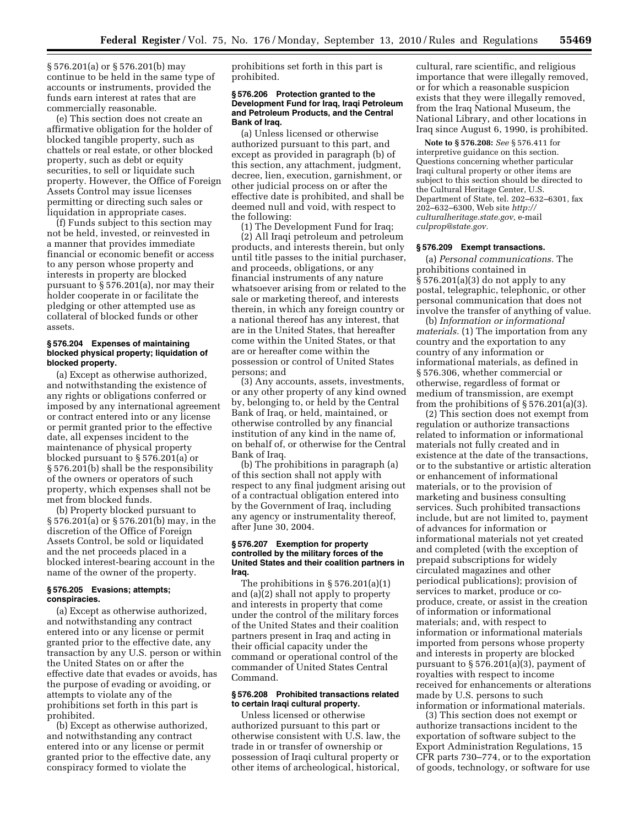§ 576.201(a) or § 576.201(b) may continue to be held in the same type of accounts or instruments, provided the funds earn interest at rates that are commercially reasonable.

(e) This section does not create an affirmative obligation for the holder of blocked tangible property, such as chattels or real estate, or other blocked property, such as debt or equity securities, to sell or liquidate such property. However, the Office of Foreign Assets Control may issue licenses permitting or directing such sales or liquidation in appropriate cases.

(f) Funds subject to this section may not be held, invested, or reinvested in a manner that provides immediate financial or economic benefit or access to any person whose property and interests in property are blocked pursuant to § 576.201(a), nor may their holder cooperate in or facilitate the pledging or other attempted use as collateral of blocked funds or other assets.

### **§ 576.204 Expenses of maintaining blocked physical property; liquidation of blocked property.**

(a) Except as otherwise authorized, and notwithstanding the existence of any rights or obligations conferred or imposed by any international agreement or contract entered into or any license or permit granted prior to the effective date, all expenses incident to the maintenance of physical property blocked pursuant to § 576.201(a) or § 576.201(b) shall be the responsibility of the owners or operators of such property, which expenses shall not be met from blocked funds.

(b) Property blocked pursuant to § 576.201(a) or § 576.201(b) may, in the discretion of the Office of Foreign Assets Control, be sold or liquidated and the net proceeds placed in a blocked interest-bearing account in the name of the owner of the property.

## **§ 576.205 Evasions; attempts; conspiracies.**

(a) Except as otherwise authorized, and notwithstanding any contract entered into or any license or permit granted prior to the effective date, any transaction by any U.S. person or within the United States on or after the effective date that evades or avoids, has the purpose of evading or avoiding, or attempts to violate any of the prohibitions set forth in this part is prohibited.

(b) Except as otherwise authorized, and notwithstanding any contract entered into or any license or permit granted prior to the effective date, any conspiracy formed to violate the

prohibitions set forth in this part is prohibited.

### **§ 576.206 Protection granted to the Development Fund for Iraq, Iraqi Petroleum and Petroleum Products, and the Central Bank of Iraq.**

(a) Unless licensed or otherwise authorized pursuant to this part, and except as provided in paragraph (b) of this section, any attachment, judgment, decree, lien, execution, garnishment, or other judicial process on or after the effective date is prohibited, and shall be deemed null and void, with respect to the following:

(1) The Development Fund for Iraq; (2) All Iraqi petroleum and petroleum products, and interests therein, but only until title passes to the initial purchaser, and proceeds, obligations, or any financial instruments of any nature whatsoever arising from or related to the sale or marketing thereof, and interests therein, in which any foreign country or a national thereof has any interest, that are in the United States, that hereafter come within the United States, or that are or hereafter come within the possession or control of United States persons; and

(3) Any accounts, assets, investments, or any other property of any kind owned by, belonging to, or held by the Central Bank of Iraq, or held, maintained, or otherwise controlled by any financial institution of any kind in the name of, on behalf of, or otherwise for the Central Bank of Iraq.

(b) The prohibitions in paragraph (a) of this section shall not apply with respect to any final judgment arising out of a contractual obligation entered into by the Government of Iraq, including any agency or instrumentality thereof, after June 30, 2004.

# **§ 576.207 Exemption for property controlled by the military forces of the United States and their coalition partners in Iraq.**

The prohibitions in § 576.201(a)(1) and (a)(2) shall not apply to property and interests in property that come under the control of the military forces of the United States and their coalition partners present in Iraq and acting in their official capacity under the command or operational control of the commander of United States Central Command.

## **§ 576.208 Prohibited transactions related to certain Iraqi cultural property.**

Unless licensed or otherwise authorized pursuant to this part or otherwise consistent with U.S. law, the trade in or transfer of ownership or possession of Iraqi cultural property or other items of archeological, historical,

cultural, rare scientific, and religious importance that were illegally removed, or for which a reasonable suspicion exists that they were illegally removed, from the Iraq National Museum, the National Library, and other locations in Iraq since August 6, 1990, is prohibited.

**Note to § 576.208:** *See* § 576.411 for interpretive guidance on this section. Questions concerning whether particular Iraqi cultural property or other items are subject to this section should be directed to the Cultural Heritage Center, U.S. Department of State, tel. 202–632–6301, fax 202–632–6300, Web site *[http://](http://culturalheritage.state.gov) [culturalheritage.state.gov,](http://culturalheritage.state.gov)* e-mail *[culprop@state.gov.](mailto:culprop@state.gov)* 

# **§ 576.209 Exempt transactions.**

(a) *Personal communications.* The prohibitions contained in § 576.201(a)(3) do not apply to any postal, telegraphic, telephonic, or other personal communication that does not involve the transfer of anything of value.

(b) *Information or informational materials.* (1) The importation from any country and the exportation to any country of any information or informational materials, as defined in § 576.306, whether commercial or otherwise, regardless of format or medium of transmission, are exempt from the prohibitions of § 576.201(a)(3).

(2) This section does not exempt from regulation or authorize transactions related to information or informational materials not fully created and in existence at the date of the transactions, or to the substantive or artistic alteration or enhancement of informational materials, or to the provision of marketing and business consulting services. Such prohibited transactions include, but are not limited to, payment of advances for information or informational materials not yet created and completed (with the exception of prepaid subscriptions for widely circulated magazines and other periodical publications); provision of services to market, produce or coproduce, create, or assist in the creation of information or informational materials; and, with respect to information or informational materials imported from persons whose property and interests in property are blocked pursuant to § 576.201(a)(3), payment of royalties with respect to income received for enhancements or alterations made by U.S. persons to such information or informational materials.

(3) This section does not exempt or authorize transactions incident to the exportation of software subject to the Export Administration Regulations, 15 CFR parts 730–774, or to the exportation of goods, technology, or software for use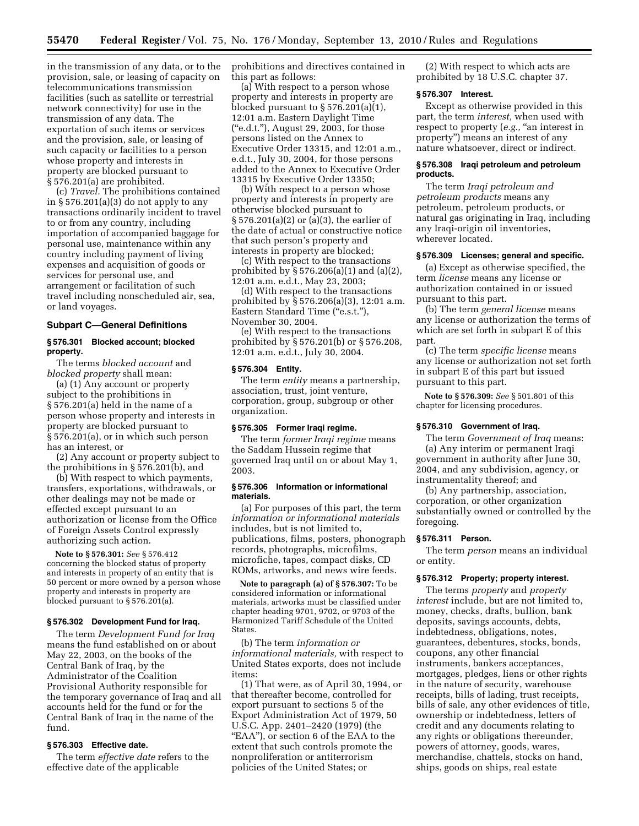in the transmission of any data, or to the provision, sale, or leasing of capacity on telecommunications transmission facilities (such as satellite or terrestrial network connectivity) for use in the transmission of any data. The exportation of such items or services and the provision, sale, or leasing of such capacity or facilities to a person whose property and interests in property are blocked pursuant to § 576.201(a) are prohibited.

(c) *Travel.* The prohibitions contained in  $\S 576.201(a)(3)$  do not apply to any transactions ordinarily incident to travel to or from any country, including importation of accompanied baggage for personal use, maintenance within any country including payment of living expenses and acquisition of goods or services for personal use, and arrangement or facilitation of such travel including nonscheduled air, sea, or land voyages.

# **Subpart C—General Definitions**

### **§ 576.301 Blocked account; blocked property.**

The terms *blocked account* and *blocked property* shall mean:

(a) (1) Any account or property subject to the prohibitions in § 576.201(a) held in the name of a person whose property and interests in property are blocked pursuant to § 576.201(a), or in which such person has an interest, or

(2) Any account or property subject to the prohibitions in § 576.201(b), and

(b) With respect to which payments, transfers, exportations, withdrawals, or other dealings may not be made or effected except pursuant to an authorization or license from the Office of Foreign Assets Control expressly authorizing such action.

**Note to § 576.301:** *See* § 576.412 concerning the blocked status of property and interests in property of an entity that is 50 percent or more owned by a person whose property and interests in property are blocked pursuant to § 576.201(a).

# **§ 576.302 Development Fund for Iraq.**

The term *Development Fund for Iraq*  means the fund established on or about May 22, 2003, on the books of the Central Bank of Iraq, by the Administrator of the Coalition Provisional Authority responsible for the temporary governance of Iraq and all accounts held for the fund or for the Central Bank of Iraq in the name of the fund.

# **§ 576.303 Effective date.**

The term *effective date* refers to the effective date of the applicable

prohibitions and directives contained in this part as follows:

(a) With respect to a person whose property and interests in property are blocked pursuant to  $\S 576.201(a)(1)$ , 12:01 a.m. Eastern Daylight Time (''e.d.t.''), August 29, 2003, for those persons listed on the Annex to Executive Order 13315, and 12:01 a.m., e.d.t., July 30, 2004, for those persons added to the Annex to Executive Order 13315 by Executive Order 13350;

(b) With respect to a person whose property and interests in property are otherwise blocked pursuant to § 576.201(a)(2) or (a)(3), the earlier of the date of actual or constructive notice that such person's property and interests in property are blocked;

(c) With respect to the transactions prohibited by § 576.206(a)(1) and (a)(2), 12:01 a.m. e.d.t., May 23, 2003;

(d) With respect to the transactions prohibited by § 576.206(a)(3), 12:01 a.m. Eastern Standard Time ("e.s.t."), November 30, 2004.

(e) With respect to the transactions prohibited by § 576.201(b) or § 576.208, 12:01 a.m. e.d.t., July 30, 2004.

## **§ 576.304 Entity.**

The term *entity* means a partnership, association, trust, joint venture, corporation, group, subgroup or other organization.

# **§ 576.305 Former Iraqi regime.**

The term *former Iraqi regime* means the Saddam Hussein regime that governed Iraq until on or about May 1, 2003.

#### **§ 576.306 Information or informational materials.**

(a) For purposes of this part, the term *information or informational materials*  includes, but is not limited to, publications, films, posters, phonograph records, photographs, microfilms, microfiche, tapes, compact disks, CD ROMs, artworks, and news wire feeds.

**Note to paragraph (a) of § 576.307:** To be considered information or informational materials, artworks must be classified under chapter heading 9701, 9702, or 9703 of the Harmonized Tariff Schedule of the United States.

(b) The term *information or informational materials,* with respect to United States exports, does not include items:

(1) That were, as of April 30, 1994, or that thereafter become, controlled for export pursuant to sections 5 of the Export Administration Act of 1979, 50 U.S.C. App. 2401–2420 (1979) (the "EAA"), or section 6 of the EAA to the extent that such controls promote the nonproliferation or antiterrorism policies of the United States; or

(2) With respect to which acts are prohibited by 18 U.S.C. chapter 37.

## **§ 576.307 Interest.**

Except as otherwise provided in this part, the term *interest,* when used with respect to property (e.g., "an interest in property'') means an interest of any nature whatsoever, direct or indirect.

# **§ 576.308 Iraqi petroleum and petroleum products.**

The term *Iraqi petroleum and petroleum products* means any petroleum, petroleum products, or natural gas originating in Iraq, including any Iraqi-origin oil inventories, wherever located.

### **§ 576.309 Licenses; general and specific.**

(a) Except as otherwise specified, the term *license* means any license or authorization contained in or issued pursuant to this part.

(b) The term *general license* means any license or authorization the terms of which are set forth in subpart E of this part.

(c) The term *specific license* means any license or authorization not set forth in subpart E of this part but issued pursuant to this part.

**Note to § 576.309:** *See* § 501.801 of this chapter for licensing procedures.

## **§ 576.310 Government of Iraq.**

The term *Government of Iraq* means: (a) Any interim or permanent Iraqi government in authority after June 30, 2004, and any subdivision, agency, or

instrumentality thereof; and

(b) Any partnership, association, corporation, or other organization substantially owned or controlled by the foregoing.

#### **§ 576.311 Person.**

The term *person* means an individual or entity.

# **§ 576.312 Property; property interest.**

The terms *property* and *property interest* include, but are not limited to, money, checks, drafts, bullion, bank deposits, savings accounts, debts, indebtedness, obligations, notes, guarantees, debentures, stocks, bonds, coupons, any other financial instruments, bankers acceptances, mortgages, pledges, liens or other rights in the nature of security, warehouse receipts, bills of lading, trust receipts, bills of sale, any other evidences of title, ownership or indebtedness, letters of credit and any documents relating to any rights or obligations thereunder, powers of attorney, goods, wares, merchandise, chattels, stocks on hand, ships, goods on ships, real estate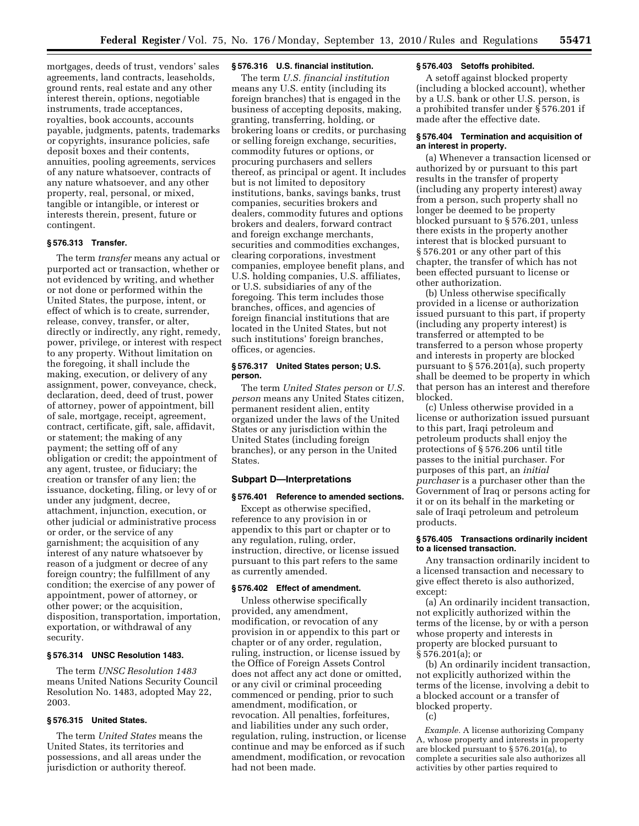mortgages, deeds of trust, vendors' sales agreements, land contracts, leaseholds, ground rents, real estate and any other interest therein, options, negotiable instruments, trade acceptances, royalties, book accounts, accounts payable, judgments, patents, trademarks or copyrights, insurance policies, safe deposit boxes and their contents, annuities, pooling agreements, services of any nature whatsoever, contracts of any nature whatsoever, and any other property, real, personal, or mixed, tangible or intangible, or interest or interests therein, present, future or contingent.

# **§ 576.313 Transfer.**

The term *transfer* means any actual or purported act or transaction, whether or not evidenced by writing, and whether or not done or performed within the United States, the purpose, intent, or effect of which is to create, surrender, release, convey, transfer, or alter, directly or indirectly, any right, remedy, power, privilege, or interest with respect to any property. Without limitation on the foregoing, it shall include the making, execution, or delivery of any assignment, power, conveyance, check, declaration, deed, deed of trust, power of attorney, power of appointment, bill of sale, mortgage, receipt, agreement, contract, certificate, gift, sale, affidavit, or statement; the making of any payment; the setting off of any obligation or credit; the appointment of any agent, trustee, or fiduciary; the creation or transfer of any lien; the issuance, docketing, filing, or levy of or under any judgment, decree, attachment, injunction, execution, or other judicial or administrative process or order, or the service of any garnishment; the acquisition of any interest of any nature whatsoever by reason of a judgment or decree of any foreign country; the fulfillment of any condition; the exercise of any power of appointment, power of attorney, or other power; or the acquisition, disposition, transportation, importation, exportation, or withdrawal of any security.

### **§ 576.314 UNSC Resolution 1483.**

The term *UNSC Resolution 1483*  means United Nations Security Council Resolution No. 1483, adopted May 22, 2003.

# **§ 576.315 United States.**

The term *United States* means the United States, its territories and possessions, and all areas under the jurisdiction or authority thereof.

# **§ 576.316 U.S. financial institution.**

The term *U.S. financial institution*  means any U.S. entity (including its foreign branches) that is engaged in the business of accepting deposits, making, granting, transferring, holding, or brokering loans or credits, or purchasing or selling foreign exchange, securities, commodity futures or options, or procuring purchasers and sellers thereof, as principal or agent. It includes but is not limited to depository institutions, banks, savings banks, trust companies, securities brokers and dealers, commodity futures and options brokers and dealers, forward contract and foreign exchange merchants, securities and commodities exchanges, clearing corporations, investment companies, employee benefit plans, and U.S. holding companies, U.S. affiliates, or U.S. subsidiaries of any of the foregoing. This term includes those branches, offices, and agencies of foreign financial institutions that are located in the United States, but not such institutions' foreign branches, offices, or agencies.

## **§ 576.317 United States person; U.S. person.**

The term *United States person* or *U.S. person* means any United States citizen, permanent resident alien, entity organized under the laws of the United States or any jurisdiction within the United States (including foreign branches), or any person in the United States.

# **Subpart D—Interpretations**

### **§ 576.401 Reference to amended sections.**

Except as otherwise specified, reference to any provision in or appendix to this part or chapter or to any regulation, ruling, order, instruction, directive, or license issued pursuant to this part refers to the same as currently amended.

#### **§ 576.402 Effect of amendment.**

Unless otherwise specifically provided, any amendment, modification, or revocation of any provision in or appendix to this part or chapter or of any order, regulation, ruling, instruction, or license issued by the Office of Foreign Assets Control does not affect any act done or omitted, or any civil or criminal proceeding commenced or pending, prior to such amendment, modification, or revocation. All penalties, forfeitures, and liabilities under any such order, regulation, ruling, instruction, or license continue and may be enforced as if such amendment, modification, or revocation had not been made.

# **§ 576.403 Setoffs prohibited.**

A setoff against blocked property (including a blocked account), whether by a U.S. bank or other U.S. person, is a prohibited transfer under § 576.201 if made after the effective date.

# **§ 576.404 Termination and acquisition of an interest in property.**

(a) Whenever a transaction licensed or authorized by or pursuant to this part results in the transfer of property (including any property interest) away from a person, such property shall no longer be deemed to be property blocked pursuant to § 576.201, unless there exists in the property another interest that is blocked pursuant to § 576.201 or any other part of this chapter, the transfer of which has not been effected pursuant to license or other authorization.

(b) Unless otherwise specifically provided in a license or authorization issued pursuant to this part, if property (including any property interest) is transferred or attempted to be transferred to a person whose property and interests in property are blocked pursuant to § 576.201(a), such property shall be deemed to be property in which that person has an interest and therefore blocked.

(c) Unless otherwise provided in a license or authorization issued pursuant to this part, Iraqi petroleum and petroleum products shall enjoy the protections of § 576.206 until title passes to the initial purchaser. For purposes of this part, an *initial purchaser* is a purchaser other than the Government of Iraq or persons acting for it or on its behalf in the marketing or sale of Iraqi petroleum and petroleum products.

### **§ 576.405 Transactions ordinarily incident to a licensed transaction.**

Any transaction ordinarily incident to a licensed transaction and necessary to give effect thereto is also authorized, except:

(a) An ordinarily incident transaction, not explicitly authorized within the terms of the license, by or with a person whose property and interests in property are blocked pursuant to § 576.201(a); or

(b) An ordinarily incident transaction, not explicitly authorized within the terms of the license, involving a debit to a blocked account or a transfer of blocked property.

(c)

*Example.* A license authorizing Company A, whose property and interests in property are blocked pursuant to § 576.201(a), to complete a securities sale also authorizes all activities by other parties required to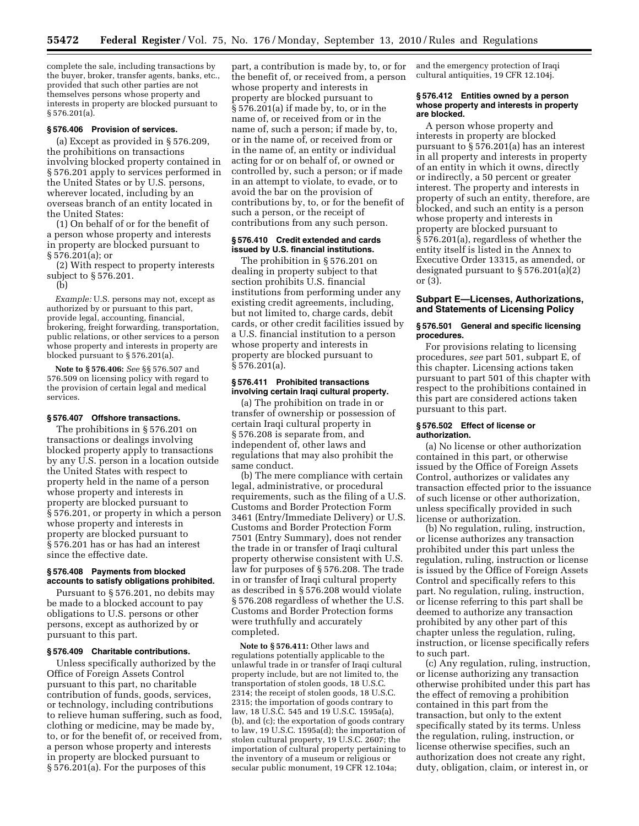complete the sale, including transactions by the buyer, broker, transfer agents, banks, etc., provided that such other parties are not themselves persons whose property and interests in property are blocked pursuant to  $§ 576.201(a).$ 

### **§ 576.406 Provision of services.**

(a) Except as provided in § 576.209, the prohibitions on transactions involving blocked property contained in § 576.201 apply to services performed in the United States or by U.S. persons, wherever located, including by an overseas branch of an entity located in the United States:

(1) On behalf of or for the benefit of a person whose property and interests in property are blocked pursuant to § 576.201(a); or

(2) With respect to property interests subject to § 576.201.

(b)

*Example:* U.S. persons may not, except as authorized by or pursuant to this part, provide legal, accounting, financial, brokering, freight forwarding, transportation, public relations, or other services to a person whose property and interests in property are blocked pursuant to § 576.201(a).

**Note to § 576.406:** *See* §§ 576.507 and 576.509 on licensing policy with regard to the provision of certain legal and medical services.

### **§ 576.407 Offshore transactions.**

The prohibitions in § 576.201 on transactions or dealings involving blocked property apply to transactions by any U.S. person in a location outside the United States with respect to property held in the name of a person whose property and interests in property are blocked pursuant to § 576.201, or property in which a person whose property and interests in property are blocked pursuant to § 576.201 has or has had an interest since the effective date.

# **§ 576.408 Payments from blocked accounts to satisfy obligations prohibited.**

Pursuant to § 576.201, no debits may be made to a blocked account to pay obligations to U.S. persons or other persons, except as authorized by or pursuant to this part.

### **§ 576.409 Charitable contributions.**

Unless specifically authorized by the Office of Foreign Assets Control pursuant to this part, no charitable contribution of funds, goods, services, or technology, including contributions to relieve human suffering, such as food, clothing or medicine, may be made by, to, or for the benefit of, or received from, a person whose property and interests in property are blocked pursuant to § 576.201(a). For the purposes of this

part, a contribution is made by, to, or for the benefit of, or received from, a person whose property and interests in property are blocked pursuant to § 576.201(a) if made by, to, or in the name of, or received from or in the name of, such a person; if made by, to, or in the name of, or received from or in the name of, an entity or individual acting for or on behalf of, or owned or controlled by, such a person; or if made in an attempt to violate, to evade, or to avoid the bar on the provision of contributions by, to, or for the benefit of such a person, or the receipt of contributions from any such person.

# **§ 576.410 Credit extended and cards issued by U.S. financial institutions.**

The prohibition in § 576.201 on dealing in property subject to that section prohibits U.S. financial institutions from performing under any existing credit agreements, including, but not limited to, charge cards, debit cards, or other credit facilities issued by a U.S. financial institution to a person whose property and interests in property are blocked pursuant to § 576.201(a).

# **§ 576.411 Prohibited transactions involving certain Iraqi cultural property.**

(a) The prohibition on trade in or transfer of ownership or possession of certain Iraqi cultural property in § 576.208 is separate from, and independent of, other laws and regulations that may also prohibit the same conduct.

(b) The mere compliance with certain legal, administrative, or procedural requirements, such as the filing of a U.S. Customs and Border Protection Form 3461 (Entry/Immediate Delivery) or U.S. Customs and Border Protection Form 7501 (Entry Summary), does not render the trade in or transfer of Iraqi cultural property otherwise consistent with U.S. law for purposes of § 576.208. The trade in or transfer of Iraqi cultural property as described in § 576.208 would violate § 576.208 regardless of whether the U.S. Customs and Border Protection forms were truthfully and accurately completed.

**Note to § 576.411:** Other laws and regulations potentially applicable to the unlawful trade in or transfer of Iraqi cultural property include, but are not limited to, the transportation of stolen goods, 18 U.S.C. 2314; the receipt of stolen goods, 18 U.S.C. 2315; the importation of goods contrary to law, 18 U.S.C. 545 and 19 U.S.C. 1595a(a), (b), and (c); the exportation of goods contrary to law, 19 U.S.C. 1595a(d); the importation of stolen cultural property, 19 U.S.C. 2607; the importation of cultural property pertaining to the inventory of a museum or religious or secular public monument, 19 CFR 12.104a;

and the emergency protection of Iraqi cultural antiquities, 19 CFR 12.104j.

### **§ 576.412 Entities owned by a person whose property and interests in property are blocked.**

A person whose property and interests in property are blocked pursuant to § 576.201(a) has an interest in all property and interests in property of an entity in which it owns, directly or indirectly, a 50 percent or greater interest. The property and interests in property of such an entity, therefore, are blocked, and such an entity is a person whose property and interests in property are blocked pursuant to § 576.201(a), regardless of whether the entity itself is listed in the Annex to Executive Order 13315, as amended, or designated pursuant to § 576.201(a)(2) or (3).

# **Subpart E—Licenses, Authorizations, and Statements of Licensing Policy**

### **§ 576.501 General and specific licensing procedures.**

For provisions relating to licensing procedures, *see* part 501, subpart E, of this chapter. Licensing actions taken pursuant to part 501 of this chapter with respect to the prohibitions contained in this part are considered actions taken pursuant to this part.

## **§ 576.502 Effect of license or authorization.**

(a) No license or other authorization contained in this part, or otherwise issued by the Office of Foreign Assets Control, authorizes or validates any transaction effected prior to the issuance of such license or other authorization, unless specifically provided in such license or authorization.

(b) No regulation, ruling, instruction, or license authorizes any transaction prohibited under this part unless the regulation, ruling, instruction or license is issued by the Office of Foreign Assets Control and specifically refers to this part. No regulation, ruling, instruction, or license referring to this part shall be deemed to authorize any transaction prohibited by any other part of this chapter unless the regulation, ruling, instruction, or license specifically refers to such part.

(c) Any regulation, ruling, instruction, or license authorizing any transaction otherwise prohibited under this part has the effect of removing a prohibition contained in this part from the transaction, but only to the extent specifically stated by its terms. Unless the regulation, ruling, instruction, or license otherwise specifies, such an authorization does not create any right, duty, obligation, claim, or interest in, or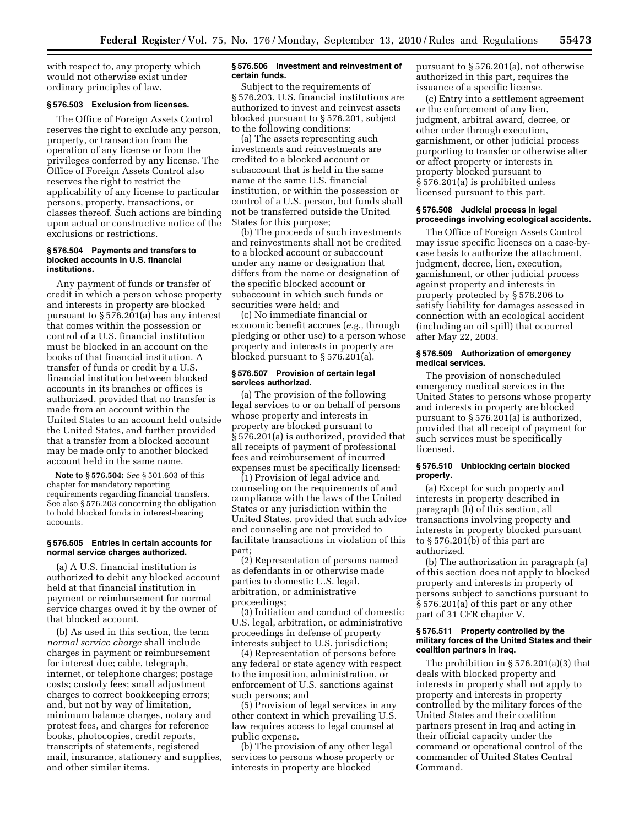with respect to, any property which would not otherwise exist under ordinary principles of law.

# **§ 576.503 Exclusion from licenses.**

The Office of Foreign Assets Control reserves the right to exclude any person, property, or transaction from the operation of any license or from the privileges conferred by any license. The Office of Foreign Assets Control also reserves the right to restrict the applicability of any license to particular persons, property, transactions, or classes thereof. Such actions are binding upon actual or constructive notice of the exclusions or restrictions.

### **§ 576.504 Payments and transfers to blocked accounts in U.S. financial institutions.**

Any payment of funds or transfer of credit in which a person whose property and interests in property are blocked pursuant to § 576.201(a) has any interest that comes within the possession or control of a U.S. financial institution must be blocked in an account on the books of that financial institution. A transfer of funds or credit by a U.S. financial institution between blocked accounts in its branches or offices is authorized, provided that no transfer is made from an account within the United States to an account held outside the United States, and further provided that a transfer from a blocked account may be made only to another blocked account held in the same name.

**Note to § 576.504:** *See* § 501.603 of this chapter for mandatory reporting requirements regarding financial transfers. See also § 576.203 concerning the obligation to hold blocked funds in interest-bearing accounts.

# **§ 576.505 Entries in certain accounts for normal service charges authorized.**

(a) A U.S. financial institution is authorized to debit any blocked account held at that financial institution in payment or reimbursement for normal service charges owed it by the owner of that blocked account.

(b) As used in this section, the term *normal service charge* shall include charges in payment or reimbursement for interest due; cable, telegraph, internet, or telephone charges; postage costs; custody fees; small adjustment charges to correct bookkeeping errors; and, but not by way of limitation, minimum balance charges, notary and protest fees, and charges for reference books, photocopies, credit reports, transcripts of statements, registered mail, insurance, stationery and supplies, and other similar items.

### **§ 576.506 Investment and reinvestment of certain funds.**

Subject to the requirements of § 576.203, U.S. financial institutions are authorized to invest and reinvest assets blocked pursuant to § 576.201, subject to the following conditions:

(a) The assets representing such investments and reinvestments are credited to a blocked account or subaccount that is held in the same name at the same U.S. financial institution, or within the possession or control of a U.S. person, but funds shall not be transferred outside the United States for this purpose;

(b) The proceeds of such investments and reinvestments shall not be credited to a blocked account or subaccount under any name or designation that differs from the name or designation of the specific blocked account or subaccount in which such funds or securities were held; and

(c) No immediate financial or economic benefit accrues (*e.g.,* through pledging or other use) to a person whose property and interests in property are blocked pursuant to § 576.201(a).

## **§ 576.507 Provision of certain legal services authorized.**

(a) The provision of the following legal services to or on behalf of persons whose property and interests in property are blocked pursuant to § 576.201(a) is authorized, provided that all receipts of payment of professional fees and reimbursement of incurred expenses must be specifically licensed:

(1) Provision of legal advice and counseling on the requirements of and compliance with the laws of the United States or any jurisdiction within the United States, provided that such advice and counseling are not provided to facilitate transactions in violation of this part;

(2) Representation of persons named as defendants in or otherwise made parties to domestic U.S. legal, arbitration, or administrative proceedings;

(3) Initiation and conduct of domestic U.S. legal, arbitration, or administrative proceedings in defense of property interests subject to U.S. jurisdiction;

(4) Representation of persons before any federal or state agency with respect to the imposition, administration, or enforcement of U.S. sanctions against such persons; and

(5) Provision of legal services in any other context in which prevailing U.S. law requires access to legal counsel at public expense.

(b) The provision of any other legal services to persons whose property or interests in property are blocked

pursuant to § 576.201(a), not otherwise authorized in this part, requires the issuance of a specific license.

(c) Entry into a settlement agreement or the enforcement of any lien, judgment, arbitral award, decree, or other order through execution, garnishment, or other judicial process purporting to transfer or otherwise alter or affect property or interests in property blocked pursuant to § 576.201(a) is prohibited unless licensed pursuant to this part.

## **§ 576.508 Judicial process in legal proceedings involving ecological accidents.**

The Office of Foreign Assets Control may issue specific licenses on a case-bycase basis to authorize the attachment, judgment, decree, lien, execution, garnishment, or other judicial process against property and interests in property protected by § 576.206 to satisfy liability for damages assessed in connection with an ecological accident (including an oil spill) that occurred after May 22, 2003.

# **§ 576.509 Authorization of emergency medical services.**

The provision of nonscheduled emergency medical services in the United States to persons whose property and interests in property are blocked pursuant to § 576.201(a) is authorized, provided that all receipt of payment for such services must be specifically licensed.

# **§ 576.510 Unblocking certain blocked property.**

(a) Except for such property and interests in property described in paragraph (b) of this section, all transactions involving property and interests in property blocked pursuant to § 576.201(b) of this part are authorized.

(b) The authorization in paragraph (a) of this section does not apply to blocked property and interests in property of persons subject to sanctions pursuant to § 576.201(a) of this part or any other part of 31 CFR chapter V.

### **§ 576.511 Property controlled by the military forces of the United States and their coalition partners in Iraq.**

The prohibition in  $\S 576.201(a)(3)$  that deals with blocked property and interests in property shall not apply to property and interests in property controlled by the military forces of the United States and their coalition partners present in Iraq and acting in their official capacity under the command or operational control of the commander of United States Central Command.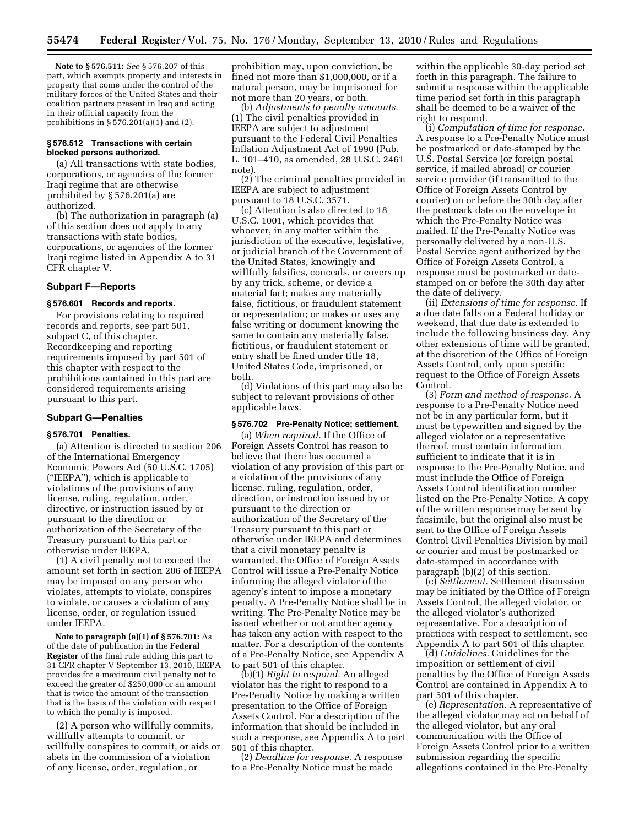**Note to § 576.511:** *See* § 576.207 of this part, which exempts property and interests in property that come under the control of the military forces of the United States and their coalition partners present in Iraq and acting in their official capacity from the prohibitions in § 576.201(a)(1) and (2).

# **§ 576.512 Transactions with certain blocked persons authorized.**

(a) All transactions with state bodies, corporations, or agencies of the former Iraqi regime that are otherwise prohibited by § 576.201(a) are authorized.

(b) The authorization in paragraph (a) of this section does not apply to any transactions with state bodies, corporations, or agencies of the former Iraqi regime listed in Appendix A to 31 CFR chapter V.

# **Subpart F—Reports**

# **§ 576.601 Records and reports.**

For provisions relating to required records and reports, see part 501, subpart C, of this chapter. Recordkeeping and reporting requirements imposed by part 501 of this chapter with respect to the prohibitions contained in this part are considered requirements arising pursuant to this part.

### **Subpart G—Penalties**

# **§ 576.701 Penalties.**

(a) Attention is directed to section 206 of the International Emergency Economic Powers Act (50 U.S.C. 1705) (''IEEPA''), which is applicable to violations of the provisions of any license, ruling, regulation, order, directive, or instruction issued by or pursuant to the direction or authorization of the Secretary of the Treasury pursuant to this part or otherwise under IEEPA.

(1) A civil penalty not to exceed the amount set forth in section 206 of IEEPA may be imposed on any person who violates, attempts to violate, conspires to violate, or causes a violation of any license, order, or regulation issued under IEEPA.

**Note to paragraph (a)(1) of § 576.701:** As of the date of publication in the **Federal Register** of the final rule adding this part to 31 CFR chapter V September 13, 2010, IEEPA provides for a maximum civil penalty not to exceed the greater of \$250,000 or an amount that is twice the amount of the transaction that is the basis of the violation with respect to which the penalty is imposed.

(2) A person who willfully commits, willfully attempts to commit, or willfully conspires to commit, or aids or abets in the commission of a violation of any license, order, regulation, or

prohibition may, upon conviction, be fined not more than \$1,000,000, or if a natural person, may be imprisoned for not more than 20 years, or both.

(b) *Adjustments to penalty amounts.*  (1) The civil penalties provided in IEEPA are subject to adjustment pursuant to the Federal Civil Penalties Inflation Adjustment Act of 1990 (Pub. L. 101–410, as amended, 28 U.S.C. 2461 note).

(2) The criminal penalties provided in IEEPA are subject to adjustment pursuant to 18 U.S.C. 3571.

(c) Attention is also directed to 18 U.S.C. 1001, which provides that whoever, in any matter within the jurisdiction of the executive, legislative, or judicial branch of the Government of the United States, knowingly and willfully falsifies, conceals, or covers up by any trick, scheme, or device a material fact; makes any materially false, fictitious, or fraudulent statement or representation; or makes or uses any false writing or document knowing the same to contain any materially false, fictitious, or fraudulent statement or entry shall be fined under title 18, United States Code, imprisoned, or both.

(d) Violations of this part may also be subject to relevant provisions of other applicable laws.

### **§ 576.702 Pre-Penalty Notice; settlement.**

(a) *When required.* If the Office of Foreign Assets Control has reason to believe that there has occurred a violation of any provision of this part or a violation of the provisions of any license, ruling, regulation, order, direction, or instruction issued by or pursuant to the direction or authorization of the Secretary of the Treasury pursuant to this part or otherwise under IEEPA and determines that a civil monetary penalty is warranted, the Office of Foreign Assets Control will issue a Pre-Penalty Notice informing the alleged violator of the agency's intent to impose a monetary penalty. A Pre-Penalty Notice shall be in writing. The Pre-Penalty Notice may be issued whether or not another agency has taken any action with respect to the matter. For a description of the contents of a Pre-Penalty Notice, see Appendix A to part 501 of this chapter.

(b)(1) *Right to respond.* An alleged violator has the right to respond to a Pre-Penalty Notice by making a written presentation to the Office of Foreign Assets Control. For a description of the information that should be included in such a response, see Appendix A to part 501 of this chapter.

(2) *Deadline for response.* A response to a Pre-Penalty Notice must be made

within the applicable 30-day period set forth in this paragraph. The failure to submit a response within the applicable time period set forth in this paragraph shall be deemed to be a waiver of the right to respond.

(i) *Computation of time for response.*  A response to a Pre-Penalty Notice must be postmarked or date-stamped by the U.S. Postal Service (or foreign postal service, if mailed abroad) or courier service provider (if transmitted to the Office of Foreign Assets Control by courier) on or before the 30th day after the postmark date on the envelope in which the Pre-Penalty Notice was mailed. If the Pre-Penalty Notice was personally delivered by a non-U.S. Postal Service agent authorized by the Office of Foreign Assets Control, a response must be postmarked or datestamped on or before the 30th day after the date of delivery.

(ii) *Extensions of time for response.* If a due date falls on a Federal holiday or weekend, that due date is extended to include the following business day. Any other extensions of time will be granted, at the discretion of the Office of Foreign Assets Control, only upon specific request to the Office of Foreign Assets Control.

(3) *Form and method of response.* A response to a Pre-Penalty Notice need not be in any particular form, but it must be typewritten and signed by the alleged violator or a representative thereof, must contain information sufficient to indicate that it is in response to the Pre-Penalty Notice, and must include the Office of Foreign Assets Control identification number listed on the Pre-Penalty Notice. A copy of the written response may be sent by facsimile, but the original also must be sent to the Office of Foreign Assets Control Civil Penalties Division by mail or courier and must be postmarked or date-stamped in accordance with paragraph (b)(2) of this section.

(c) *Settlement.* Settlement discussion may be initiated by the Office of Foreign Assets Control, the alleged violator, or the alleged violator's authorized representative. For a description of practices with respect to settlement, see Appendix A to part 501 of this chapter.

(d) *Guidelines.* Guidelines for the imposition or settlement of civil penalties by the Office of Foreign Assets Control are contained in Appendix A to part 501 of this chapter.

(e) *Representation.* A representative of the alleged violator may act on behalf of the alleged violator, but any oral communication with the Office of Foreign Assets Control prior to a written submission regarding the specific allegations contained in the Pre-Penalty